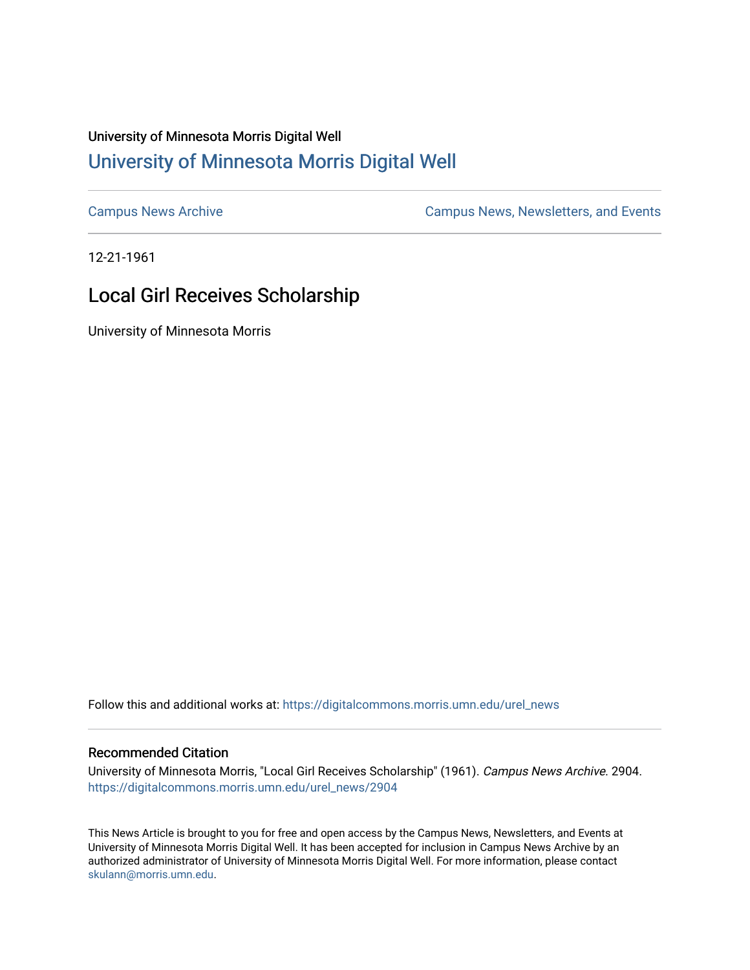## University of Minnesota Morris Digital Well [University of Minnesota Morris Digital Well](https://digitalcommons.morris.umn.edu/)

[Campus News Archive](https://digitalcommons.morris.umn.edu/urel_news) [Campus News, Newsletters, and Events](https://digitalcommons.morris.umn.edu/externalrel) 

12-21-1961

## Local Girl Receives Scholarship

University of Minnesota Morris

Follow this and additional works at: [https://digitalcommons.morris.umn.edu/urel\\_news](https://digitalcommons.morris.umn.edu/urel_news?utm_source=digitalcommons.morris.umn.edu%2Furel_news%2F2904&utm_medium=PDF&utm_campaign=PDFCoverPages) 

## Recommended Citation

University of Minnesota Morris, "Local Girl Receives Scholarship" (1961). Campus News Archive. 2904. [https://digitalcommons.morris.umn.edu/urel\\_news/2904](https://digitalcommons.morris.umn.edu/urel_news/2904?utm_source=digitalcommons.morris.umn.edu%2Furel_news%2F2904&utm_medium=PDF&utm_campaign=PDFCoverPages) 

This News Article is brought to you for free and open access by the Campus News, Newsletters, and Events at University of Minnesota Morris Digital Well. It has been accepted for inclusion in Campus News Archive by an authorized administrator of University of Minnesota Morris Digital Well. For more information, please contact [skulann@morris.umn.edu.](mailto:skulann@morris.umn.edu)